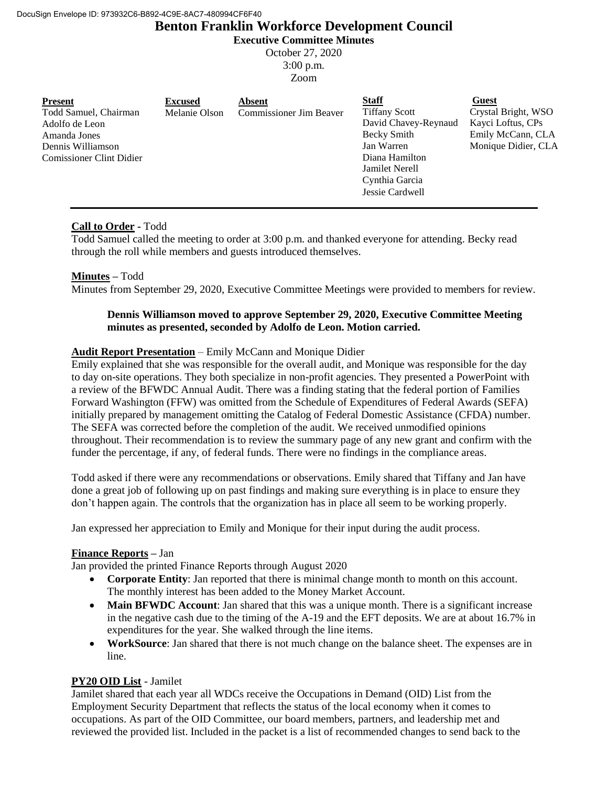# **Benton Franklin Workforce Development Council**

**Executive Committee Minutes**

October 27, 2020 3:00 p.m.

Zoom

| <b>Present</b><br>Todd Samuel, Chairman<br>Adolfo de Leon<br>Amanda Jones<br>Dennis Williamson<br><b>Comissioner Clint Didier</b> | <b>Excused</b><br>Melanie Olson | <b>Absent</b><br><b>Commissioner Jim Beaver</b> | <b>Staff</b><br><b>Tiffany Scott</b><br>David Chavey-Reynaud<br>Becky Smith<br>Jan Warren<br>Diana Hamilton<br><b>Jamilet Nerell</b><br>Cynthia Garcia | Guest<br>Crystal Bright, WSO<br>Kayci Loftus, CPs<br>Emily McCann, CLA<br>Monique Didier, CLA |
|-----------------------------------------------------------------------------------------------------------------------------------|---------------------------------|-------------------------------------------------|--------------------------------------------------------------------------------------------------------------------------------------------------------|-----------------------------------------------------------------------------------------------|
|                                                                                                                                   |                                 |                                                 | Jessie Cardwell                                                                                                                                        |                                                                                               |

# **Call to Order -** Todd

Todd Samuel called the meeting to order at 3:00 p.m. and thanked everyone for attending. Becky read through the roll while members and guests introduced themselves.

# **Minutes –** Todd

Minutes from September 29, 2020, Executive Committee Meetings were provided to members for review.

# **Dennis Williamson moved to approve September 29, 2020, Executive Committee Meeting minutes as presented, seconded by Adolfo de Leon. Motion carried.**

# **Audit Report Presentation** – Emily McCann and Monique Didier

Emily explained that she was responsible for the overall audit, and Monique was responsible for the day to day on-site operations. They both specialize in non-profit agencies. They presented a PowerPoint with a review of the BFWDC Annual Audit. There was a finding stating that the federal portion of Families Forward Washington (FFW) was omitted from the Schedule of Expenditures of Federal Awards (SEFA) initially prepared by management omitting the Catalog of Federal Domestic Assistance (CFDA) number. The SEFA was corrected before the completion of the audit. We received unmodified opinions throughout. Their recommendation is to review the summary page of any new grant and confirm with the funder the percentage, if any, of federal funds. There were no findings in the compliance areas.

Todd asked if there were any recommendations or observations. Emily shared that Tiffany and Jan have done a great job of following up on past findings and making sure everything is in place to ensure they don't happen again. The controls that the organization has in place all seem to be working properly.

Jan expressed her appreciation to Emily and Monique for their input during the audit process.

## **Finance Reports –** Jan

Jan provided the printed Finance Reports through August 2020

- **Corporate Entity**: Jan reported that there is minimal change month to month on this account. The monthly interest has been added to the Money Market Account.
- Main BFWDC Account: Jan shared that this was a unique month. There is a significant increase in the negative cash due to the timing of the A-19 and the EFT deposits. We are at about 16.7% in expenditures for the year. She walked through the line items.
- **WorkSource**: Jan shared that there is not much change on the balance sheet. The expenses are in line.

# **PY20 OID List** - Jamilet

Jamilet shared that each year all WDCs receive the Occupations in Demand (OID) List from the Employment Security Department that reflects the status of the local economy when it comes to occupations. As part of the OID Committee, our board members, partners, and leadership met and reviewed the provided list. Included in the packet is a list of recommended changes to send back to the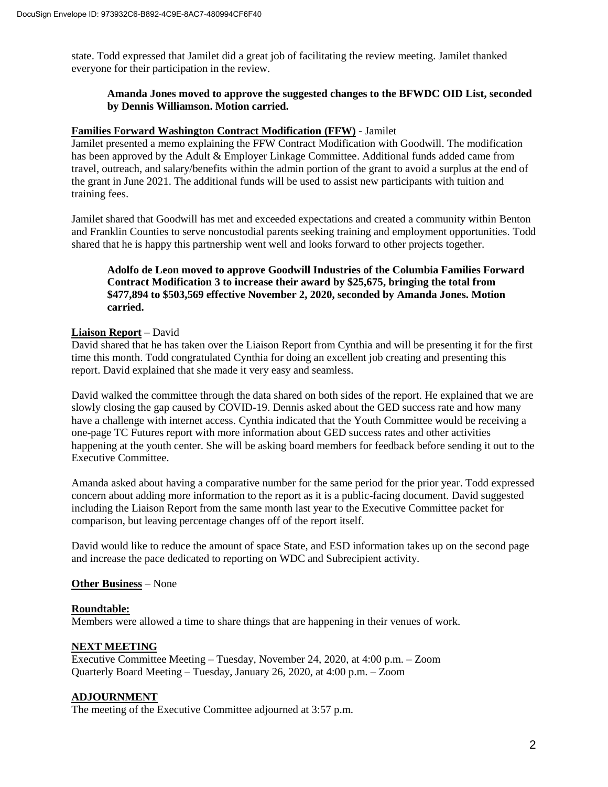state. Todd expressed that Jamilet did a great job of facilitating the review meeting. Jamilet thanked everyone for their participation in the review.

# **Amanda Jones moved to approve the suggested changes to the BFWDC OID List, seconded by Dennis Williamson. Motion carried.**

#### **Families Forward Washington Contract Modification (FFW)** - Jamilet

Jamilet presented a memo explaining the FFW Contract Modification with Goodwill. The modification has been approved by the Adult & Employer Linkage Committee. Additional funds added came from travel, outreach, and salary/benefits within the admin portion of the grant to avoid a surplus at the end of the grant in June 2021. The additional funds will be used to assist new participants with tuition and training fees.

Jamilet shared that Goodwill has met and exceeded expectations and created a community within Benton and Franklin Counties to serve noncustodial parents seeking training and employment opportunities. Todd shared that he is happy this partnership went well and looks forward to other projects together.

## **Adolfo de Leon moved to approve Goodwill Industries of the Columbia Families Forward Contract Modification 3 to increase their award by \$25,675, bringing the total from \$477,894 to \$503,569 effective November 2, 2020, seconded by Amanda Jones. Motion carried.**

#### **Liaison Report** – David

David shared that he has taken over the Liaison Report from Cynthia and will be presenting it for the first time this month. Todd congratulated Cynthia for doing an excellent job creating and presenting this report. David explained that she made it very easy and seamless.

David walked the committee through the data shared on both sides of the report. He explained that we are slowly closing the gap caused by COVID-19. Dennis asked about the GED success rate and how many have a challenge with internet access. Cynthia indicated that the Youth Committee would be receiving a one-page TC Futures report with more information about GED success rates and other activities happening at the youth center. She will be asking board members for feedback before sending it out to the Executive Committee.

Amanda asked about having a comparative number for the same period for the prior year. Todd expressed concern about adding more information to the report as it is a public-facing document. David suggested including the Liaison Report from the same month last year to the Executive Committee packet for comparison, but leaving percentage changes off of the report itself.

David would like to reduce the amount of space State, and ESD information takes up on the second page and increase the pace dedicated to reporting on WDC and Subrecipient activity.

#### **Other Business** – None

#### **Roundtable:**

Members were allowed a time to share things that are happening in their venues of work.

## **NEXT MEETING**

Executive Committee Meeting – Tuesday, November 24, 2020, at 4:00 p.m. – Zoom Quarterly Board Meeting – Tuesday, January 26, 2020, at 4:00 p.m. – Zoom

# **ADJOURNMENT**

The meeting of the Executive Committee adjourned at 3:57 p.m.